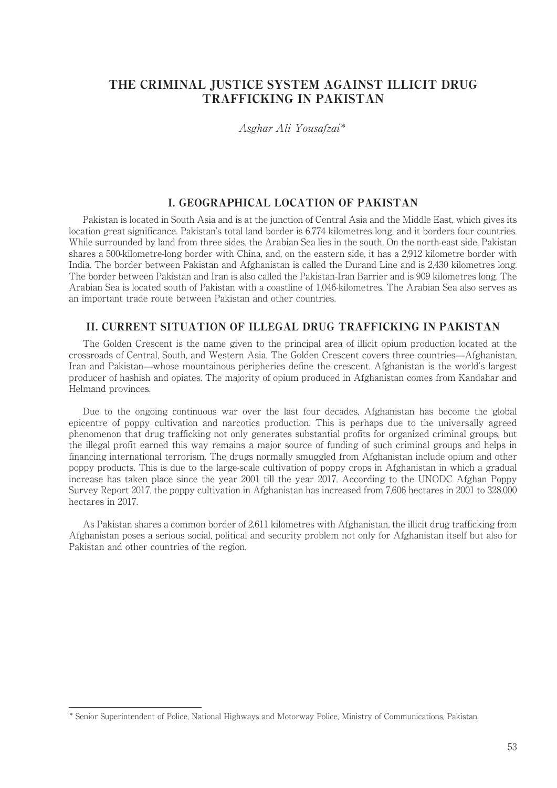# THE CRIMINAL JUSTICE SYSTEM AGAINST ILLICIT DRUG TRAFFICKING IN PAKISTAN

Asghar Ali Yousafzai\*

## I. GEOGRAPHICAL LOCATION OF PAKISTAN

Pakistan is located in South Asia and is at the junction of Central Asia and the Middle East, which gives its location great significance. Pakistan's total land border is 6,774 kilometres long, and it borders four countries. While surrounded by land from three sides, the Arabian Sea lies in the south. On the north-east side, Pakistan shares a 500-kilometre-long border with China, and, on the eastern side, it has a 2,912 kilometre border with India. The border between Pakistan and Afghanistan is called the Durand Line and is 2,430 kilometres long. The border between Pakistan and Iran is also called the Pakistan-Iran Barrier and is 909 kilometres long. The Arabian Sea is located south of Pakistan with a coastline of 1,046-kilometres. The Arabian Sea also serves as an important trade route between Pakistan and other countries.

### II. CURRENT SITUATION OF ILLEGAL DRUG TRAFFICKING IN PAKISTAN

The Golden Crescent is the name given to the principal area of illicit opium production located at the crossroads of Central, South, and Western Asia. The Golden Crescent covers three countries̶Afghanistan, Iran and Pakistan̶whose mountainous peripheries define the crescent. Afghanistan is the world's largest producer of hashish and opiates. The majority of opium produced in Afghanistan comes from Kandahar and Helmand provinces.

Due to the ongoing continuous war over the last four decades, Afghanistan has become the global epicentre of poppy cultivation and narcotics production. This is perhaps due to the universally agreed phenomenon that drug trafficking not only generates substantial profits for organized criminal groups, but the illegal profit earned this way remains a major source of funding of such criminal groups and helps in financing international terrorism. The drugs normally smuggled from Afghanistan include opium and other poppy products. This is due to the large-scale cultivation of poppy crops in Afghanistan in which a gradual increase has taken place since the year 2001 till the year 2017. According to the UNODC Afghan Poppy Survey Report 2017, the poppy cultivation in Afghanistan has increased from 7,606 hectares in 2001 to 328,000 hectares in 2017.

As Pakistan shares a common border of 2,611 kilometres with Afghanistan, the illicit drug trafficking from Afghanistan poses a serious social, political and security problem not only for Afghanistan itself but also for Pakistan and other countries of the region.

<sup>\*</sup> Senior Superintendent of Police, National Highways and Motorway Police, Ministry of Communications, Pakistan.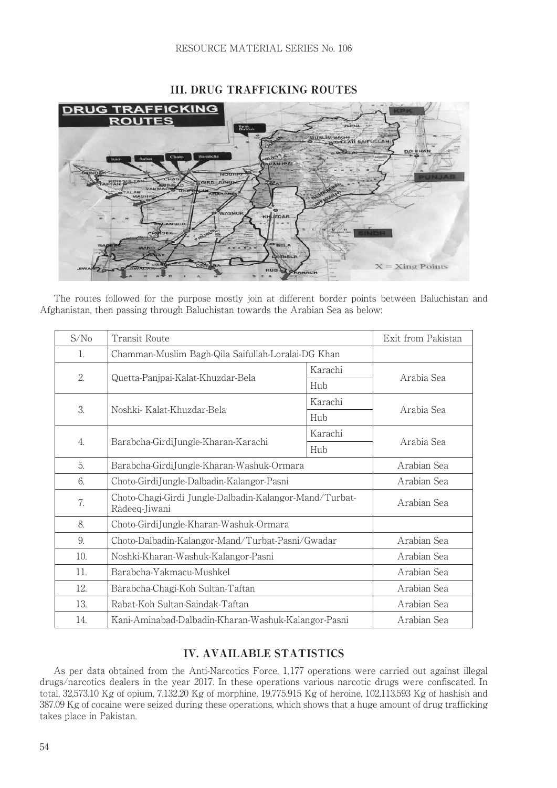

# III. DRUG TRAFFICKING ROUTES

The routes followed for the purpose mostly join at different border points between Baluchistan and Afghanistan, then passing through Baluchistan towards the Arabian Sea as below:

| S/N <sub>0</sub> | <b>Transit Route</b>                                                     |         | Exit from Pakistan |
|------------------|--------------------------------------------------------------------------|---------|--------------------|
| 1.               | Chamman-Muslim Bagh-Qila Saifullah-Loralai-DG Khan                       |         |                    |
| 2.               | Quetta-Panjpai-Kalat-Khuzdar-Bela                                        | Karachi | Arabia Sea         |
|                  |                                                                          | Hub     |                    |
| 3.               | Noshki- Kalat-Khuzdar-Bela                                               | Karachi | Arabia Sea         |
|                  |                                                                          | Hub     |                    |
| $\overline{4}$ . | Barabcha-GirdiJungle-Kharan-Karachi                                      | Karachi | Arabia Sea         |
|                  |                                                                          | Hub     |                    |
| 5.               | Barabcha-GirdiJungle-Kharan-Washuk-Ormara                                |         | Arabian Sea        |
| 6.               | Choto-GirdiJungle-Dalbadin-Kalangor-Pasni                                |         | Arabian Sea        |
| 7.               | Choto-Chagi-Girdi Jungle-Dalbadin-Kalangor-Mand/Turbat-<br>Radeeq-Jiwani |         | Arabian Sea        |
| 8.               | Choto-GirdiJungle-Kharan-Washuk-Ormara                                   |         |                    |
| 9.               | Choto-Dalbadin-Kalangor-Mand/Turbat-Pasni/Gwadar                         |         | Arabian Sea        |
| 10.              | Noshki-Kharan-Washuk-Kalangor-Pasni                                      |         | Arabian Sea        |
| 11.              | Barabcha-Yakmacu-Mushkel                                                 |         | Arabian Sea        |
| 12.              | Barabcha-Chagi-Koh Sultan-Taftan                                         |         | Arabian Sea        |
| 13.              | Rabat-Koh Sultan-Saindak-Taftan                                          |         | Arabian Sea        |
| 14.              | Kani-Aminabad-Dalbadin-Kharan-Washuk-Kalangor-Pasni                      |         | Arabian Sea        |

# IV. AVAILABLE STATISTICS

As per data obtained from the Anti-Narcotics Force, 1,177 operations were carried out against illegal drugs/narcotics dealers in the year 2017. In these operations various narcotic drugs were confiscated. In total, 32,573.10 Kg of opium, 7,132.20 Kg of morphine, 19,775.915 Kg of heroine, 102,113.593 Kg of hashish and 387.09 Kg of cocaine were seized during these operations, which shows that a huge amount of drug trafficking takes place in Pakistan.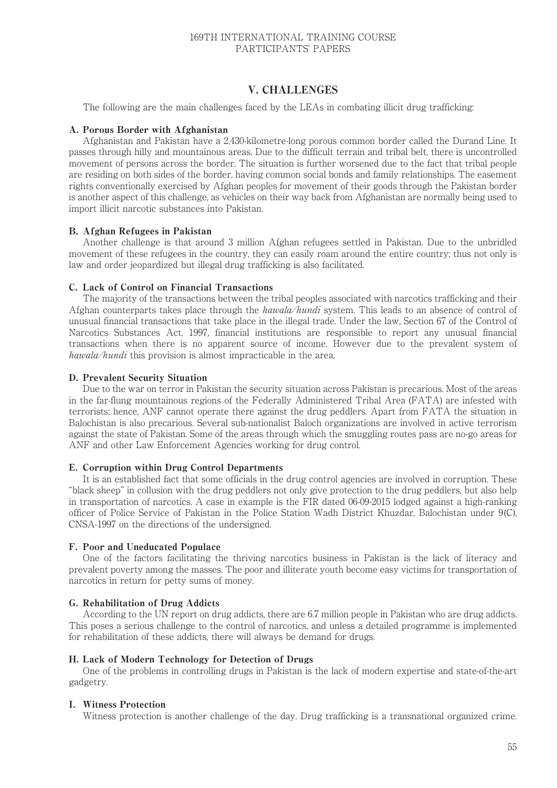### 169TH INTERNATIONAL TRAINING COURSE PARTICIPANTS' PAPERS

### V. CHALLENGES

The following are the main challenges faced by the LEAs in combating illicit drug trafficking:

#### A. Porous Border with Afghanistan

Afghanistan and Pakistan have a 2,430-kilometre-long porous common border called the Durand Line. It passes through hilly and mountainous areas. Due to the difficult terrain and tribal belt, there is uncontrolled movement of persons across the border. The situation is further worsened due to the fact that tribal people are residing on both sides of the border, having common social bonds and family relationships. The easement rights conventionally exercised by Afghan peoples for movement of their goods through the Pakistan border is another aspect of this challenge, as vehicles on their way back from Afghanistan are normally being used to import illicit narcotic substances into Pakistan.

#### B. Afghan Refugees in Pakistan

Another challenge is that around 3 million Afghan refugees settled in Pakistan. Due to the unbridled movement of these refugees in the country, they can easily roam around the entire country; thus not only is law and order jeopardized but illegal drug trafficking is also facilitated.

#### C. Lack of Control on Financial Transactions

The majority of the transactions between the tribal peoples associated with narcotics trafficking and their Afghan counterparts takes place through the hawala/hundi system. This leads to an absence of control of unusual financial transactions that take place in the illegal trade. Under the law, Section 67 of the Control of Narcotics Substances Act, 1997, financial institutions are responsible to report any unusual financial transactions when there is no apparent source of income. However due to the prevalent system of hawala/hundi this provision is almost impracticable in the area.

#### D. Prevalent Security Situation

Due to the war on terror in Pakistan the security situation across Pakistan is precarious. Most of the areas in the far-flung mountainous regions of the Federally Administered Tribal Area (FATA) are infested with terrorists; hence, ANF cannot operate there against the drug peddlers. Apart from FATA the situation in Balochistan is also precarious. Several sub-nationalist Baloch organizations are involved in active terrorism against the state of Pakistan. Some of the areas through which the smuggling routes pass are no-go areas for ANF and other Law Enforcement Agencies working for drug control.

#### E. Corruption within Drug Control Departments

It is an established fact that some officials in the drug control agencies are involved in corruption. These "black sheep" in collusion with the drug peddlers not only give protection to the drug peddlers, but also help in transportation of narcotics. A case in example is the FIR dated 06-09-2015 lodged against a high-ranking officer of Police Service of Pakistan in the Police Station Wadh District Khuzdar, Balochistan under 9(C), CNSA-1997 on the directions of the undersigned.

#### F. Poor and Uneducated Populace

One of the factors facilitating the thriving narcotics business in Pakistan is the lack of literacy and prevalent poverty among the masses. The poor and illiterate youth become easy victims for transportation of narcotics in return for petty sums of money.

#### G. Rehabilitation of Drug Addicts

According to the UN report on drug addicts, there are 6.7 million people in Pakistan who are drug addicts. This poses a serious challenge to the control of narcotics, and unless a detailed programme is implemented for rehabilitation of these addicts, there will always be demand for drugs.

#### H. Lack of Modern Technology for Detection of Drugs

One of the problems in controlling drugs in Pakistan is the lack of modern expertise and state-of-the-art gadgetry.

#### I. Witness Protection

Witness protection is another challenge of the day. Drug trafficking is a transnational organized crime.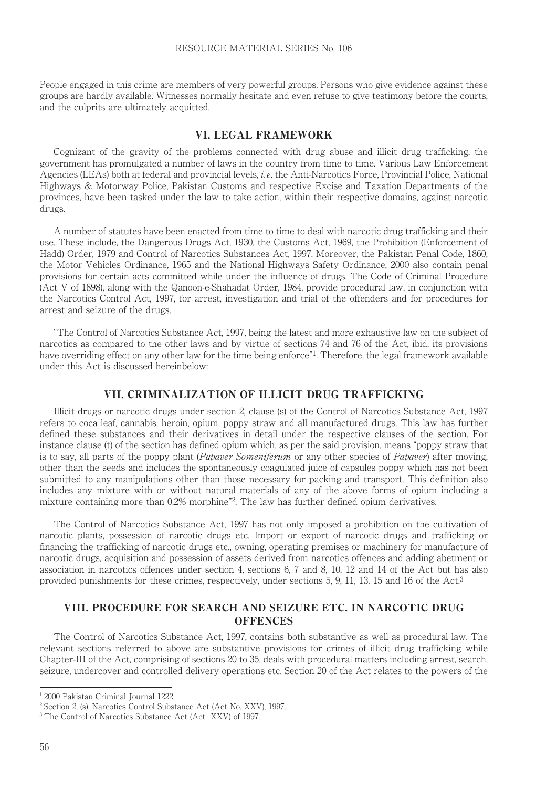People engaged in this crime are members of very powerful groups. Persons who give evidence against these groups are hardly available. Witnesses normally hesitate and even refuse to give testimony before the courts, and the culprits are ultimately acquitted.

### VI. LEGAL FRAMEWORK

Cognizant of the gravity of the problems connected with drug abuse and illicit drug trafficking, the government has promulgated a number of laws in the country from time to time. Various Law Enforcement Agencies (LEAs) both at federal and provincial levels, i.e. the Anti-Narcotics Force, Provincial Police, National Highways & Motorway Police, Pakistan Customs and respective Excise and Taxation Departments of the provinces, have been tasked under the law to take action, within their respective domains, against narcotic drugs.

A number of statutes have been enacted from time to time to deal with narcotic drug trafficking and their use. These include, the Dangerous Drugs Act, 1930, the Customs Act, 1969, the Prohibition (Enforcement of Hadd) Order, 1979 and Control of Narcotics Substances Act, 1997. Moreover, the Pakistan Penal Code, 1860, the Motor Vehicles Ordinance, 1965 and the National Highways Safety Ordinance, 2000 also contain penal provisions for certain acts committed while under the influence of drugs. The Code of Criminal Procedure (Act V of 1898), along with the Qanoon-e-Shahadat Order, 1984, provide procedural law, in conjunction with the Narcotics Control Act, 1997, for arrest, investigation and trial of the offenders and for procedures for arrest and seizure of the drugs.

"The Control of Narcotics Substance Act, 1997, being the latest and more exhaustive law on the subject of narcotics as compared to the other laws and by virtue of sections 74 and 76 of the Act, ibid, its provisions have overriding effect on any other law for the time being enforce"1. Therefore, the legal framework available under this Act is discussed hereinbelow:

### VII. CRIMINALIZATION OF ILLICIT DRUG TRAFFICKING

Illicit drugs or narcotic drugs under section 2, clause (s) of the Control of Narcotics Substance Act, 1997 refers to coca leaf, cannabis, heroin, opium, poppy straw and all manufactured drugs. This law has further defined these substances and their derivatives in detail under the respective clauses of the section. For instance clause (t) of the section has defined opium which, as per the said provision, means "poppy straw that is to say, all parts of the poppy plant (Papaver Someniferum or any other species of Papaver) after moving. other than the seeds and includes the spontaneously coagulated juice of capsules poppy which has not been submitted to any manipulations other than those necessary for packing and transport. This definition also includes any mixture with or without natural materials of any of the above forms of opium including a mixture containing more than 0.2% morphine"2. The law has further defined opium derivatives.

The Control of Narcotics Substance Act, 1997 has not only imposed a prohibition on the cultivation of narcotic plants, possession of narcotic drugs etc. Import or export of narcotic drugs and trafficking or financing the trafficking of narcotic drugs etc., owning, operating premises or machinery for manufacture of narcotic drugs, acquisition and possession of assets derived from narcotics offences and adding abetment or association in narcotics offences under section 4, sections 6, 7 and 8, 10, 12 and 14 of the Act but has also provided punishments for these crimes, respectively, under sections 5, 9, 11, 13, 15 and 16 of the Act.<sup>3</sup>

### VIII. PROCEDURE FOR SEARCH AND SEIZURE ETC. IN NARCOTIC DRUG **OFFENCES**

The Control of Narcotics Substance Act, 1997, contains both substantive as well as procedural law. The relevant sections referred to above are substantive provisions for crimes of illicit drug trafficking while Chapter-III of the Act, comprising of sections 20 to 35, deals with procedural matters including arrest, search, seizure, undercover and controlled delivery operations etc. Section 20 of the Act relates to the powers of the

<sup>&</sup>lt;sup>1</sup> 2000 Pakistan Criminal Journal 1222.

<sup>2</sup> Section 2, (s), Narcotics Control Substance Act (Act No. XXV), 1997.

<sup>3</sup> The Control of Narcotics Substance Act (Act XXV) of 1997.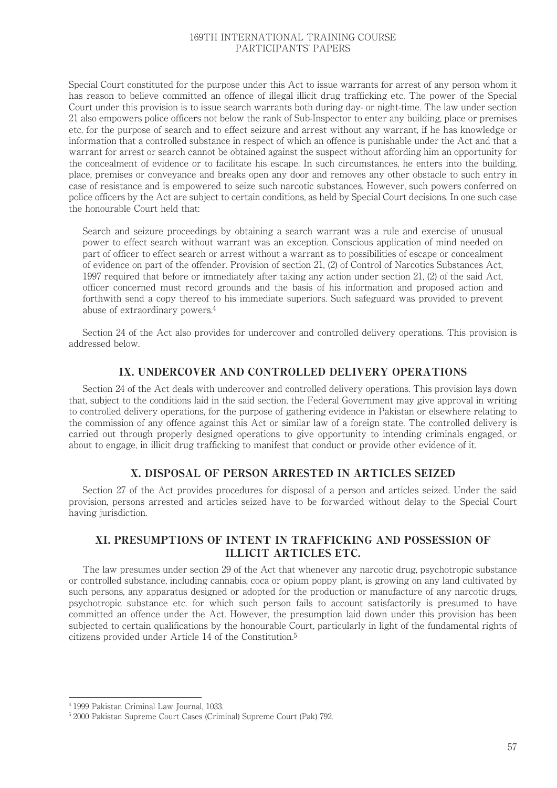### 169TH INTERNATIONAL TRAINING COURSE PARTICIPANTS' PAPERS

Special Court constituted for the purpose under this Act to issue warrants for arrest of any person whom it has reason to believe committed an offence of illegal illicit drug trafficking etc. The power of the Special Court under this provision is to issue search warrants both during day- or night-time. The law under section 21 also empowers police officers not below the rank of Sub-Inspector to enter any building, place or premises etc. for the purpose of search and to effect seizure and arrest without any warrant, if he has knowledge or information that a controlled substance in respect of which an offence is punishable under the Act and that a warrant for arrest or search cannot be obtained against the suspect without affording him an opportunity for the concealment of evidence or to facilitate his escape. In such circumstances, he enters into the building, place, premises or conveyance and breaks open any door and removes any other obstacle to such entry in case of resistance and is empowered to seize such narcotic substances. However, such powers conferred on police officers by the Act are subject to certain conditions, as held by Special Court decisions. In one such case the honourable Court held that:

Search and seizure proceedings by obtaining a search warrant was a rule and exercise of unusual power to effect search without warrant was an exception. Conscious application of mind needed on part of officer to effect search or arrest without a warrant as to possibilities of escape or concealment of evidence on part of the offender. Provision of section 21, (2) of Control of Narcotics Substances Act, 1997 required that before or immediately after taking any action under section 21, (2) of the said Act, officer concerned must record grounds and the basis of his information and proposed action and forthwith send a copy thereof to his immediate superiors. Such safeguard was provided to prevent abuse of extraordinary powers.4

Section 24 of the Act also provides for undercover and controlled delivery operations. This provision is addressed below.

### IX. UNDERCOVER AND CONTROLLED DELIVERY OPERATIONS

Section 24 of the Act deals with undercover and controlled delivery operations. This provision lays down that, subject to the conditions laid in the said section, the Federal Government may give approval in writing to controlled delivery operations, for the purpose of gathering evidence in Pakistan or elsewhere relating to the commission of any offence against this Act or similar law of a foreign state. The controlled delivery is carried out through properly designed operations to give opportunity to intending criminals engaged, or about to engage, in illicit drug trafficking to manifest that conduct or provide other evidence of it.

### X. DISPOSAL OF PERSON ARRESTED IN ARTICLES SEIZED

Section 27 of the Act provides procedures for disposal of a person and articles seized. Under the said provision, persons arrested and articles seized have to be forwarded without delay to the Special Court having jurisdiction.

# XI. PRESUMPTIONS OF INTENT IN TRAFFICKING AND POSSESSION OF ILLICIT ARTICLES ETC.

The law presumes under section 29 of the Act that whenever any narcotic drug, psychotropic substance or controlled substance, including cannabis, coca or opium poppy plant, is growing on any land cultivated by such persons, any apparatus designed or adopted for the production or manufacture of any narcotic drugs, psychotropic substance etc. for which such person fails to account satisfactorily is presumed to have committed an offence under the Act. However, the presumption laid down under this provision has been subjected to certain qualifications by the honourable Court, particularly in light of the fundamental rights of citizens provided under Article 14 of the Constitution.5

<sup>4</sup> 1999 Pakistan Criminal Law Journal, 1033.

<sup>5</sup> 2000 Pakistan Supreme Court Cases (Criminal) Supreme Court (Pak) 792.